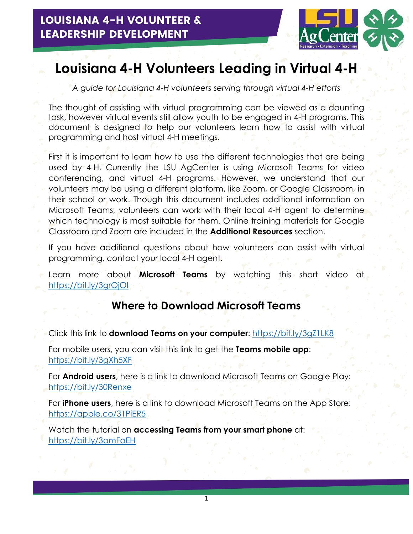

# **Louisiana 4-H Volunteers Leading in Virtual 4-H**

*A guide for Louisiana 4-H volunteers serving through virtual 4-H efforts*

The thought of assisting with virtual programming can be viewed as a daunting task, however virtual events still allow youth to be engaged in 4-H programs. This document is designed to help our volunteers learn how to assist with virtual programming and host virtual 4-H meetings.

First it is important to learn how to use the different technologies that are being used by 4-H. Currently the LSU AgCenter is using Microsoft Teams for video conferencing, and virtual 4-H programs. However, we understand that our volunteers may be using a different platform, like Zoom, or Google Classroom, in their school or work. Though this document includes additional information on Microsoft Teams, volunteers can work with their local 4-H agent to determine which technology is most suitable for them. Online training materials for Google Classroom and Zoom are included in the **Additional Resources** section.

If you have additional questions about how volunteers can assist with virtual programming, contact your local 4-H agent.

Learn more about **Microsoft Teams** by watching this short video at <https://bit.ly/3grOjOI>

#### **Where to Download Microsoft Teams**

Click this link to **download Teams on your computer**: <https://bit.ly/3gZ1LK8>

For mobile users, you can visit this link to get the **Teams mobile app**: <https://bit.ly/3gXh5XF>

For **Android users**, here is a link to download Microsoft Teams on Google Play: <https://bit.ly/30Renxe>

For **iPhone users**, here is a link to download Microsoft Teams on the App Store: <https://apple.co/31PiER5>

Watch the tutorial on **accessing Teams from your smart phone** at: <https://bit.ly/3amFaEH>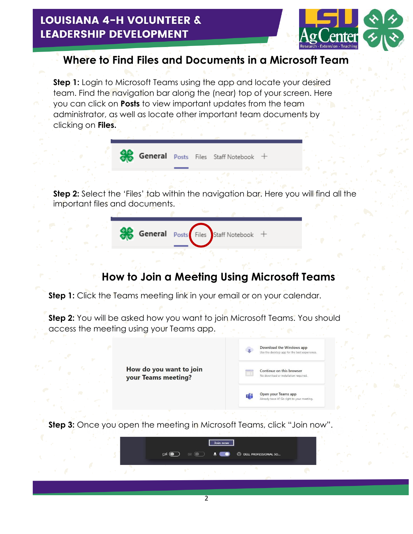

## **Where to Find Files and Documents in a Microsoft Team**

**Step 1:** Login to Microsoft Teams using the app and locate your desired team. Find the navigation bar along the (near) top of your screen. Here you can click on **Posts** to view important updates from the team administrator, as well as locate other important team documents by clicking on **Files.**



**Step 2:** Select the 'Files' tab within the navigation bar. Here you will find all the important files and documents.



## **How to Join a Meeting Using Microsoft Teams**

**Step 1:** Click the Teams meeting link in your email or on your calendar.

**Step 2:** You will be asked how you want to join Microsoft Teams. You should access the meeting using your Teams app.



**Step 3:** Once you open the meeting in Microsoft Teams, click "Join now".

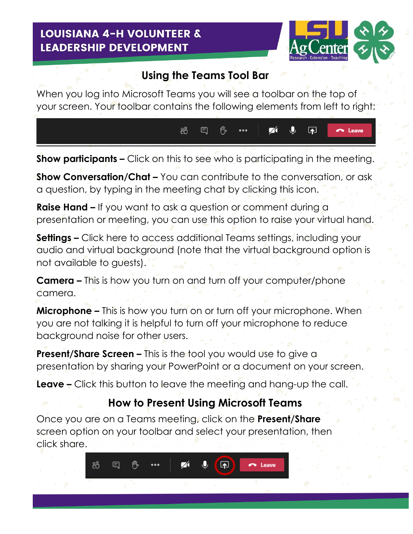

3

### **Using the Teams Tool Bar**

When you log into Microsoft Teams you will see a toolbar on the top of your screen. Your toolbar contains the following elements from left to right:



**Show participants –** Click on this to see who is participating in the meeting.

**Show Conversation/Chat –** You can contribute to the conversation, or ask a question, by typing in the meeting chat by clicking this icon.

**Raise Hand –** If you want to ask a question or comment during a presentation or meeting, you can use this option to raise your virtual hand.

**Settings –** Click here to access additional Teams settings, including your audio and virtual background (note that the virtual background option is not available to guests).

**Camera –** This is how you turn on and turn off your computer/phone camera.

**Microphone –** This is how you turn on or turn off your microphone. When you are not talking it is helpful to turn off your microphone to reduce background noise for other users.

**Present/Share Screen –** This is the tool you would use to give a presentation by sharing your PowerPoint or a document on your screen.

**Leave –** Click this button to leave the meeting and hang-up the call.

## **How to Present Using Microsoft Teams**

Once you are on a Teams meeting, click on the **Present/Share** screen option on your toolbar and select your presentation, then click share.

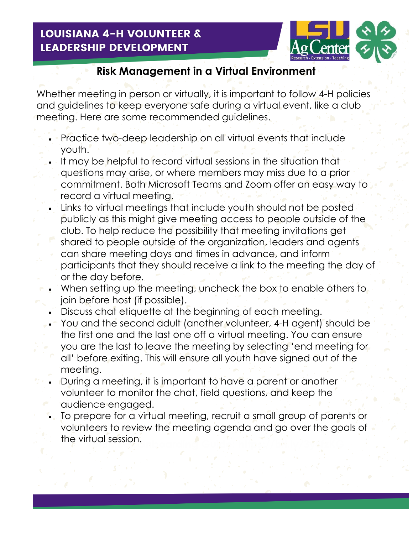

4

## **Risk Management in a Virtual Environment**

Whether meeting in person or virtually, it is important to follow 4-H policies and guidelines to keep everyone safe during a virtual event, like a club meeting. Here are some recommended guidelines.

- Practice two-deep leadership on all virtual events that include youth.
- It may be helpful to record virtual sessions in the situation that questions may arise, or where members may miss due to a prior commitment. Both Microsoft Teams and Zoom offer an easy way to record a virtual meeting.
- Links to virtual meetings that include youth should not be posted publicly as this might give meeting access to people outside of the club. To help reduce the possibility that meeting invitations get shared to people outside of the organization, leaders and agents can share meeting days and times in advance, and inform participants that they should receive a link to the meeting the day of or the day before.
- When setting up the meeting, uncheck the box to enable others to join before host (if possible).
- Discuss chat etiquette at the beginning of each meeting.
- You and the second adult (another volunteer, 4-H agent) should be the first one and the last one off a virtual meeting. You can ensure you are the last to leave the meeting by selecting 'end meeting for all' before exiting. This will ensure all youth have signed out of the meeting.
- During a meeting, it is important to have a parent or another volunteer to monitor the chat, field questions, and keep the audience engaged.
- To prepare for a virtual meeting, recruit a small group of parents or volunteers to review the meeting agenda and go over the goals of the virtual session.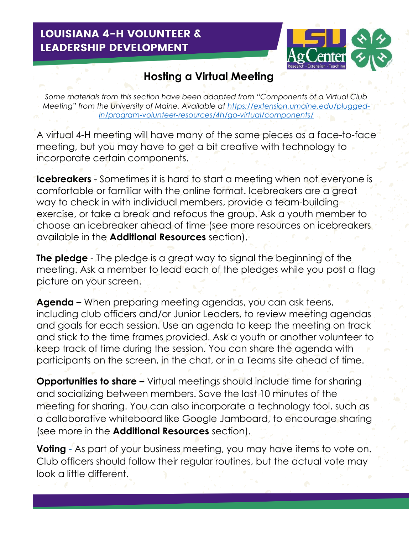

5

## **Hosting a Virtual Meeting**

*Some materials from this section have been adapted from "Components of a Virtual Club Meeting*" from the University of Maine. Available at [https://extension.umaine.edu/plugged](https://extension.umaine.edu/plugged-in/program-volunteer-resources/4h/go-virtual/components/)*[in/program-volunteer-resources/4h/go-virtual/components/](https://extension.umaine.edu/plugged-in/program-volunteer-resources/4h/go-virtual/components/)*

A virtual 4-H meeting will have many of the same pieces as a face-to-face meeting, but you may have to get a bit creative with technology to incorporate certain components.

**Icebreakers** - Sometimes it is hard to start a meeting when not everyone is comfortable or familiar with the online format. Icebreakers are a great way to check in with individual members, provide a team-building exercise, or take a break and refocus the group. Ask a youth member to choose an icebreaker ahead of time (see more resources on icebreakers available in the **Additional Resources** section).

**The pledge** - The pledge is a great way to signal the beginning of the meeting. Ask a member to lead each of the pledges while you post a flag picture on your screen.

**Agenda –** When preparing meeting agendas, you can ask teens, including club officers and/or Junior Leaders, to review meeting agendas and goals for each session. Use an agenda to keep the meeting on track and stick to the time frames provided. Ask a youth or another volunteer to keep track of time during the session. You can share the agenda with participants on the screen, in the chat, or in a Teams site ahead of time.

**Opportunities to share –** Virtual meetings should include time for sharing and socializing between members. Save the last 10 minutes of the meeting for sharing. You can also incorporate a technology tool, such as a collaborative whiteboard like Google Jamboard, to encourage sharing (see more in the **Additional Resources** section).

**Voting** - As part of your business meeting, you may have items to vote on. Club officers should follow their regular routines, but the actual vote may look a little different.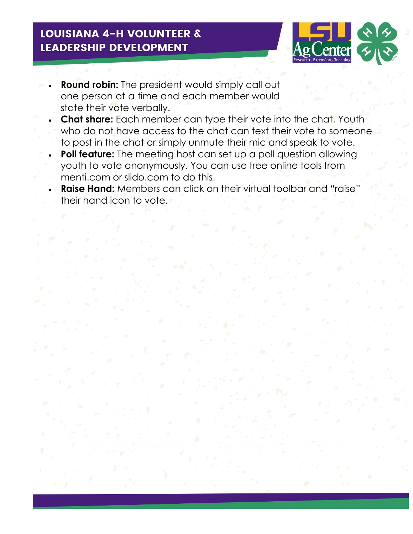

6

- **Round robin:** The president would simply call out one person at a time and each member would state their vote verbally.
- **Chat share:** Each member can type their vote into the chat. Youth who do not have access to the chat can text their vote to someone to post in the chat or simply unmute their mic and speak to vote.
- **Poll feature:** The meeting host can set up a poll question allowing youth to vote anonymously. You can use free online tools from menti.com or slido.com to do this.
	- **Raise Hand:** Members can click on their virtual toolbar and "raise" their hand icon to vote.